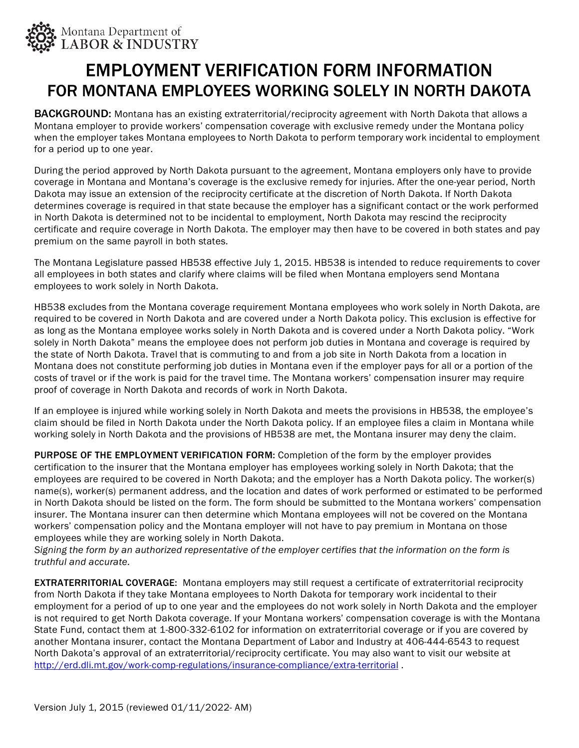

## EMPLOYMENT VERIFICATION FORM INFORMATION FOR MONTANA EMPLOYEES WORKING SOLELY IN NORTH DAKOTA

**BACKGROUND:** Montana has an existing extraterritorial/reciprocity agreement with North Dakota that allows a Montana employer to provide workers' compensation coverage with exclusive remedy under the Montana policy when the employer takes Montana employees to North Dakota to perform temporary work incidental to employment for a period up to one year.

During the period approved by North Dakota pursuant to the agreement, Montana employers only have to provide coverage in Montana and Montana's coverage is the exclusive remedy for injuries. After the one-year period, North Dakota may issue an extension of the reciprocity certificate at the discretion of North Dakota. If North Dakota determines coverage is required in that state because the employer has a significant contact or the work performed in North Dakota is determined not to be incidental to employment, North Dakota may rescind the reciprocity certificate and require coverage in North Dakota. The employer may then have to be covered in both states and pay premium on the same payroll in both states.

The Montana Legislature passed HB538 effective July 1, 2015. HB538 is intended to reduce requirements to cover all employees in both states and clarify where claims will be filed when Montana employers send Montana employees to work solely in North Dakota.

HB538 excludes from the Montana coverage requirement Montana employees who work solely in North Dakota, are required to be covered in North Dakota and are covered under a North Dakota policy. This exclusion is effective for as long as the Montana employee works solely in North Dakota and is covered under a North Dakota policy. "Work solely in North Dakota" means the employee does not perform job duties in Montana and coverage is required by the state of North Dakota. Travel that is commuting to and from a job site in North Dakota from a location in Montana does not constitute performing job duties in Montana even if the employer pays for all or a portion of the costs of travel or if the work is paid for the travel time. The Montana workers' compensation insurer may require proof of coverage in North Dakota and records of work in North Dakota.

If an employee is injured while working solely in North Dakota and meets the provisions in HB538, the employee's claim should be filed in North Dakota under the North Dakota policy. If an employee files a claim in Montana while working solely in North Dakota and the provisions of HB538 are met, the Montana insurer may deny the claim.

PURPOSE OF THE EMPLOYMENT VERIFICATION FORM: Completion of the form by the employer provides certification to the insurer that the Montana employer has employees working solely in North Dakota; that the employees are required to be covered in North Dakota; and the employer has a North Dakota policy. The worker(s) name(s), worker(s) permanent address, and the location and dates of work performed or estimated to be performed in North Dakota should be listed on the form. The form should be submitted to the Montana workers' compensation insurer. The Montana insurer can then determine which Montana employees will not be covered on the Montana workers' compensation policy and the Montana employer will not have to pay premium in Montana on those employees while they are working solely in North Dakota.

Signing the form by an authorized representative of the employer certifies that the information on the form is *truthful and accurate.*

**EXTRATERRITORIAL COVERAGE:** Montana employers may still request a certificate of extraterritorial reciprocity from North Dakota if they take Montana employees to North Dakota for temporary work incidental to their employment for a period of up to one year and the employees do not work solely in North Dakota and the employer is not required to get North Dakota coverage. If your Montana workers' compensation coverage is with the Montana State Fund, contact them at 1-800-332-6102 for information on extraterritorial coverage or if you are covered by another Montana insurer, contact the Montana Department of Labor and Industry at 406-444-6543 to request North Dakota's approval of an extraterritorial/reciprocity certificate. You may also want to visit our website at <http://erd.dli.mt.gov/work-comp-regulations/insurance-compliance/extra-territorial> .